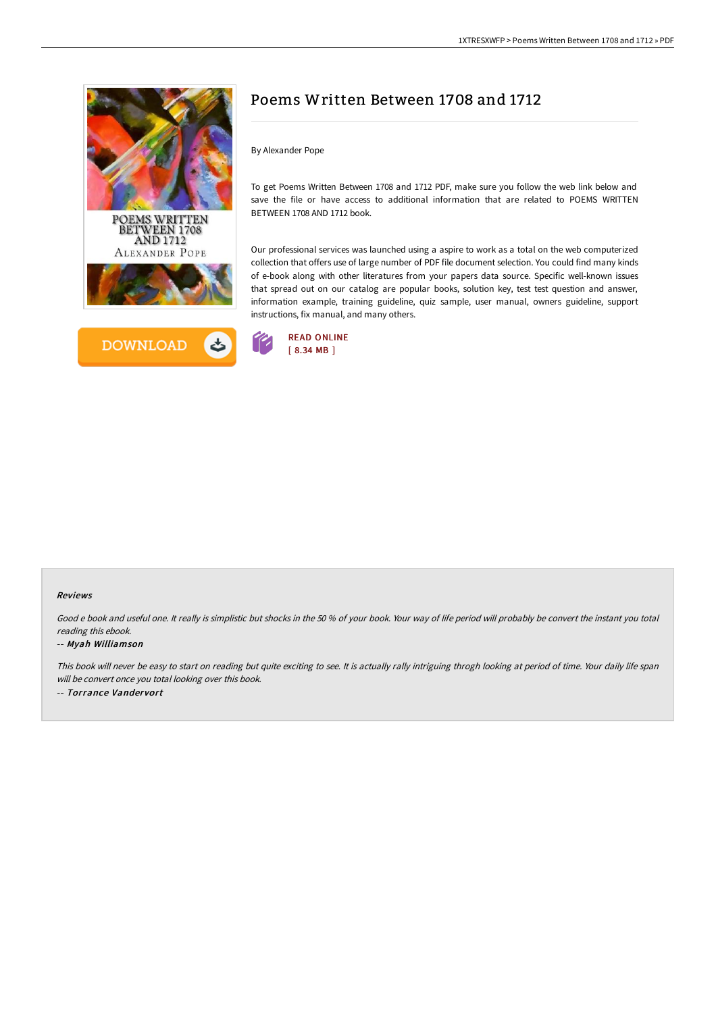



# Poems Written Between 1708 and 1712

By Alexander Pope

To get Poems Written Between 1708 and 1712 PDF, make sure you follow the web link below and save the file or have access to additional information that are related to POEMS WRITTEN BETWEEN 1708 AND 1712 book.

Our professional services was launched using a aspire to work as a total on the web computerized collection that offers use of large number of PDF file document selection. You could find many kinds of e-book along with other literatures from your papers data source. Specific well-known issues that spread out on our catalog are popular books, solution key, test test question and answer, information example, training guideline, quiz sample, user manual, owners guideline, support instructions, fix manual, and many others.



#### Reviews

Good <sup>e</sup> book and useful one. It really is simplistic but shocks in the 50 % of your book. Your way of life period will probably be convert the instant you total reading this ebook.

#### -- Myah Williamson

This book will never be easy to start on reading but quite exciting to see. It is actually rally intriguing throgh looking at period of time. Your daily life span will be convert once you total looking over this book. -- Torrance Vandervort